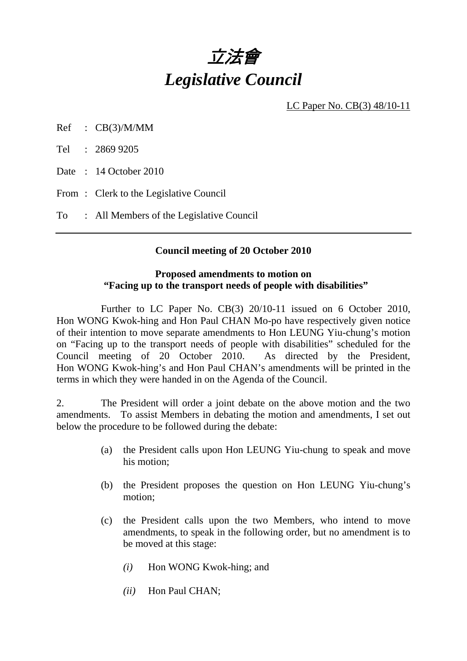

LC Paper No. CB(3) 48/10-11

Ref : CB(3)/M/MM

Tel : 2869 9205

Date: 14 October 2010

From : Clerk to the Legislative Council

To : All Members of the Legislative Council

#### **Council meeting of 20 October 2010**

### **Proposed amendments to motion on "Facing up to the transport needs of people with disabilities"**

 Further to LC Paper No. CB(3) 20/10-11 issued on 6 October 2010, Hon WONG Kwok-hing and Hon Paul CHAN Mo-po have respectively given notice of their intention to move separate amendments to Hon LEUNG Yiu-chung's motion on "Facing up to the transport needs of people with disabilities" scheduled for the Council meeting of 20 October 2010. As directed by the President, Hon WONG Kwok-hing's and Hon Paul CHAN's amendments will be printed in the terms in which they were handed in on the Agenda of the Council.

2. The President will order a joint debate on the above motion and the two amendments. To assist Members in debating the motion and amendments, I set out below the procedure to be followed during the debate:

- (a) the President calls upon Hon LEUNG Yiu-chung to speak and move his motion;
- (b) the President proposes the question on Hon LEUNG Yiu-chung's motion;
- (c) the President calls upon the two Members, who intend to move amendments, to speak in the following order, but no amendment is to be moved at this stage:
	- *(i)* Hon WONG Kwok-hing; and
	- *(ii)* Hon Paul CHAN;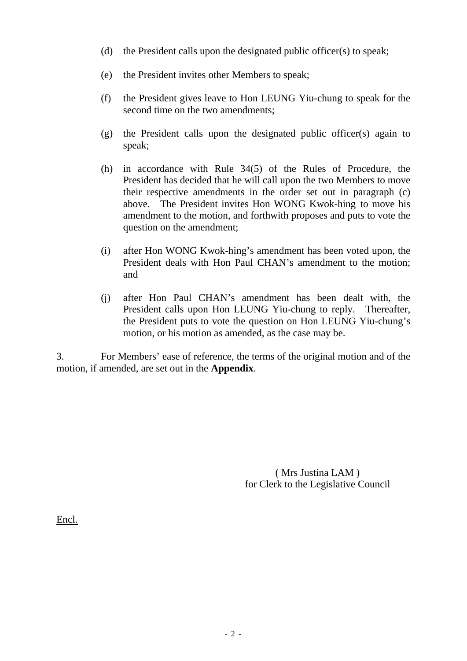- (d) the President calls upon the designated public officer(s) to speak;
- (e) the President invites other Members to speak;
- (f) the President gives leave to Hon LEUNG Yiu-chung to speak for the second time on the two amendments;
- (g) the President calls upon the designated public officer(s) again to speak;
- (h) in accordance with Rule 34(5) of the Rules of Procedure, the President has decided that he will call upon the two Members to move their respective amendments in the order set out in paragraph (c) above. The President invites Hon WONG Kwok-hing to move his amendment to the motion, and forthwith proposes and puts to vote the question on the amendment;
- (i) after Hon WONG Kwok-hing's amendment has been voted upon, the President deals with Hon Paul CHAN's amendment to the motion; and
- (j) after Hon Paul CHAN's amendment has been dealt with, the President calls upon Hon LEUNG Yiu-chung to reply. Thereafter, the President puts to vote the question on Hon LEUNG Yiu-chung's motion, or his motion as amended, as the case may be.

3. For Members' ease of reference, the terms of the original motion and of the motion, if amended, are set out in the **Appendix**.

> ( Mrs Justina LAM ) for Clerk to the Legislative Council

Encl.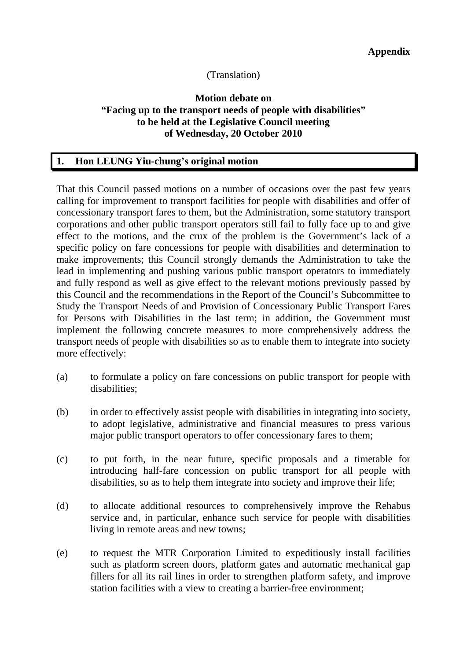## (Translation)

### **Motion debate on "Facing up to the transport needs of people with disabilities" to be held at the Legislative Council meeting of Wednesday, 20 October 2010**

### **1. Hon LEUNG Yiu-chung's original motion**

That this Council passed motions on a number of occasions over the past few years calling for improvement to transport facilities for people with disabilities and offer of concessionary transport fares to them, but the Administration, some statutory transport corporations and other public transport operators still fail to fully face up to and give effect to the motions, and the crux of the problem is the Government's lack of a specific policy on fare concessions for people with disabilities and determination to make improvements; this Council strongly demands the Administration to take the lead in implementing and pushing various public transport operators to immediately and fully respond as well as give effect to the relevant motions previously passed by this Council and the recommendations in the Report of the Council's Subcommittee to Study the Transport Needs of and Provision of Concessionary Public Transport Fares for Persons with Disabilities in the last term; in addition, the Government must implement the following concrete measures to more comprehensively address the transport needs of people with disabilities so as to enable them to integrate into society more effectively:

- (a) to formulate a policy on fare concessions on public transport for people with disabilities;
- (b) in order to effectively assist people with disabilities in integrating into society, to adopt legislative, administrative and financial measures to press various major public transport operators to offer concessionary fares to them;
- (c) to put forth, in the near future, specific proposals and a timetable for introducing half-fare concession on public transport for all people with disabilities, so as to help them integrate into society and improve their life;
- (d) to allocate additional resources to comprehensively improve the Rehabus service and, in particular, enhance such service for people with disabilities living in remote areas and new towns;
- (e) to request the MTR Corporation Limited to expeditiously install facilities such as platform screen doors, platform gates and automatic mechanical gap fillers for all its rail lines in order to strengthen platform safety, and improve station facilities with a view to creating a barrier-free environment;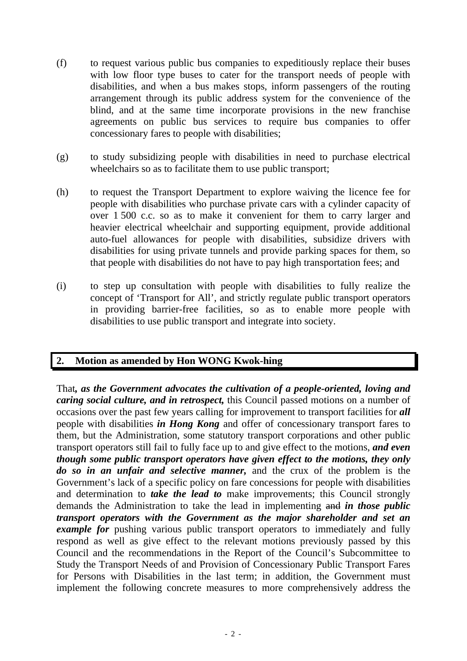- (f) to request various public bus companies to expeditiously replace their buses with low floor type buses to cater for the transport needs of people with disabilities, and when a bus makes stops, inform passengers of the routing arrangement through its public address system for the convenience of the blind, and at the same time incorporate provisions in the new franchise agreements on public bus services to require bus companies to offer concessionary fares to people with disabilities;
- (g) to study subsidizing people with disabilities in need to purchase electrical wheelchairs so as to facilitate them to use public transport;
- (h) to request the Transport Department to explore waiving the licence fee for people with disabilities who purchase private cars with a cylinder capacity of over 1 500 c.c. so as to make it convenient for them to carry larger and heavier electrical wheelchair and supporting equipment, provide additional auto-fuel allowances for people with disabilities, subsidize drivers with disabilities for using private tunnels and provide parking spaces for them, so that people with disabilities do not have to pay high transportation fees; and
- (i) to step up consultation with people with disabilities to fully realize the concept of 'Transport for All', and strictly regulate public transport operators in providing barrier-free facilities, so as to enable more people with disabilities to use public transport and integrate into society.

# **2. Motion as amended by Hon WONG Kwok-hing**

That*, as the Government advocates the cultivation of a people-oriented, loving and caring social culture, and in retrospect,* this Council passed motions on a number of occasions over the past few years calling for improvement to transport facilities for *all* people with disabilities *in Hong Kong* and offer of concessionary transport fares to them, but the Administration, some statutory transport corporations and other public transport operators still fail to fully face up to and give effect to the motions, *and even though some public transport operators have given effect to the motions, they only do so in an unfair and selective manner,* and the crux of the problem is the Government's lack of a specific policy on fare concessions for people with disabilities and determination to *take the lead to* make improvements; this Council strongly demands the Administration to take the lead in implementing and *in those public transport operators with the Government as the major shareholder and set an example for* pushing various public transport operators to immediately and fully respond as well as give effect to the relevant motions previously passed by this Council and the recommendations in the Report of the Council's Subcommittee to Study the Transport Needs of and Provision of Concessionary Public Transport Fares for Persons with Disabilities in the last term; in addition, the Government must implement the following concrete measures to more comprehensively address the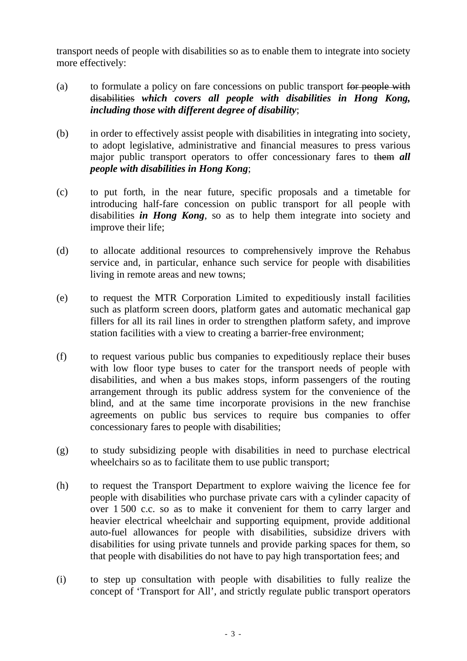transport needs of people with disabilities so as to enable them to integrate into society more effectively:

- (a) to formulate a policy on fare concessions on public transport for people with disabilities *which covers all people with disabilities in Hong Kong, including those with different degree of disability*;
- (b) in order to effectively assist people with disabilities in integrating into society, to adopt legislative, administrative and financial measures to press various major public transport operators to offer concessionary fares to them *all people with disabilities in Hong Kong*;
- (c) to put forth, in the near future, specific proposals and a timetable for introducing half-fare concession on public transport for all people with disabilities *in Hong Kong*, so as to help them integrate into society and improve their life;
- (d) to allocate additional resources to comprehensively improve the Rehabus service and, in particular, enhance such service for people with disabilities living in remote areas and new towns;
- (e) to request the MTR Corporation Limited to expeditiously install facilities such as platform screen doors, platform gates and automatic mechanical gap fillers for all its rail lines in order to strengthen platform safety, and improve station facilities with a view to creating a barrier-free environment;
- (f) to request various public bus companies to expeditiously replace their buses with low floor type buses to cater for the transport needs of people with disabilities, and when a bus makes stops, inform passengers of the routing arrangement through its public address system for the convenience of the blind, and at the same time incorporate provisions in the new franchise agreements on public bus services to require bus companies to offer concessionary fares to people with disabilities;
- (g) to study subsidizing people with disabilities in need to purchase electrical wheelchairs so as to facilitate them to use public transport;
- (h) to request the Transport Department to explore waiving the licence fee for people with disabilities who purchase private cars with a cylinder capacity of over 1 500 c.c. so as to make it convenient for them to carry larger and heavier electrical wheelchair and supporting equipment, provide additional auto-fuel allowances for people with disabilities, subsidize drivers with disabilities for using private tunnels and provide parking spaces for them, so that people with disabilities do not have to pay high transportation fees; and
- (i) to step up consultation with people with disabilities to fully realize the concept of 'Transport for All', and strictly regulate public transport operators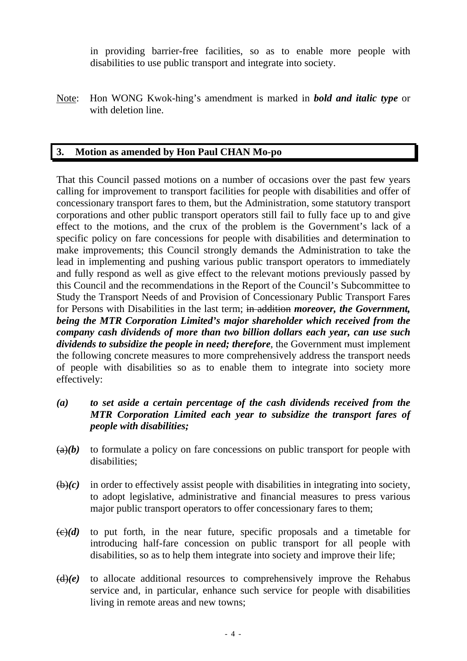in providing barrier-free facilities, so as to enable more people with disabilities to use public transport and integrate into society.

Note: Hon WONG Kwok-hing's amendment is marked in *bold and italic type* or with deletion line.

# **3. Motion as amended by Hon Paul CHAN Mo-po**

That this Council passed motions on a number of occasions over the past few years calling for improvement to transport facilities for people with disabilities and offer of concessionary transport fares to them, but the Administration, some statutory transport corporations and other public transport operators still fail to fully face up to and give effect to the motions, and the crux of the problem is the Government's lack of a specific policy on fare concessions for people with disabilities and determination to make improvements; this Council strongly demands the Administration to take the lead in implementing and pushing various public transport operators to immediately and fully respond as well as give effect to the relevant motions previously passed by this Council and the recommendations in the Report of the Council's Subcommittee to Study the Transport Needs of and Provision of Concessionary Public Transport Fares for Persons with Disabilities in the last term; in addition *moreover, the Government, being the MTR Corporation Limited's major shareholder which received from the company cash dividends of more than two billion dollars each year, can use such dividends to subsidize the people in need; therefore*, the Government must implement the following concrete measures to more comprehensively address the transport needs of people with disabilities so as to enable them to integrate into society more effectively:

- *(a) to set aside a certain percentage of the cash dividends received from the MTR Corporation Limited each year to subsidize the transport fares of people with disabilities;*
- $(a)(b)$  to formulate a policy on fare concessions on public transport for people with disabilities;
- $\bigoplus(c)$  in order to effectively assist people with disabilities in integrating into society, to adopt legislative, administrative and financial measures to press various major public transport operators to offer concessionary fares to them;
- $\left(\frac{c}{c}\right)(d)$  to put forth, in the near future, specific proposals and a timetable for introducing half-fare concession on public transport for all people with disabilities, so as to help them integrate into society and improve their life;
- $(d)(e)$  to allocate additional resources to comprehensively improve the Rehabus service and, in particular, enhance such service for people with disabilities living in remote areas and new towns;